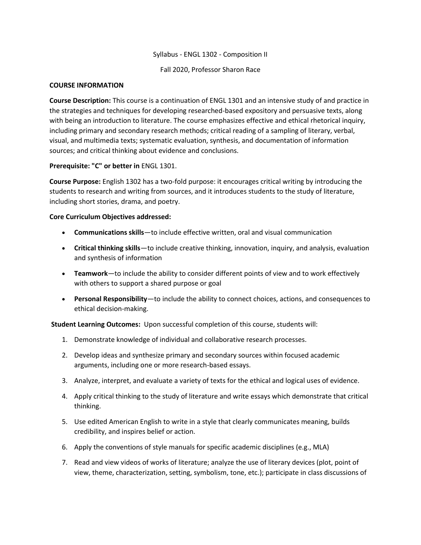### Syllabus - ENGL 1302 - Composition II

Fall 2020, Professor Sharon Race

#### **COURSE INFORMATION**

**Course Description:** This course is a continuation of ENGL 1301 and an intensive study of and practice in the strategies and techniques for developing researched-based expository and persuasive texts, along with being an introduction to literature. The course emphasizes effective and ethical rhetorical inquiry, including primary and secondary research methods; critical reading of a sampling of literary, verbal, visual, and multimedia texts; systematic evaluation, synthesis, and documentation of information sources; and critical thinking about evidence and conclusions.

# **Prerequisite: "C" or better in** ENGL 1301.

**Course Purpose:** English 1302 has a two-fold purpose: it encourages critical writing by introducing the students to research and writing from sources, and it introduces students to the study of literature, including short stories, drama, and poetry.

#### **Core Curriculum Objectives addressed:**

- **Communications skills**—to include effective written, oral and visual communication
- **Critical thinking skills**—to include creative thinking, innovation, inquiry, and analysis, evaluation and synthesis of information
- **Teamwork**—to include the ability to consider different points of view and to work effectively with others to support a shared purpose or goal
- **Personal Responsibility**—to include the ability to connect choices, actions, and consequences to ethical decision-making.

**Student Learning Outcomes:** Upon successful completion of this course, students will:

- 1. Demonstrate knowledge of individual and collaborative research processes.
- 2. Develop ideas and synthesize primary and secondary sources within focused academic arguments, including one or more research-based essays.
- 3. Analyze, interpret, and evaluate a variety of texts for the ethical and logical uses of evidence.
- 4. Apply critical thinking to the study of literature and write essays which demonstrate that critical thinking.
- 5. Use edited American English to write in a style that clearly communicates meaning, builds credibility, and inspires belief or action.
- 6. Apply the conventions of style manuals for specific academic disciplines (e.g., MLA)
- 7. Read and view videos of works of literature; analyze the use of literary devices (plot, point of view, theme, characterization, setting, symbolism, tone, etc.); participate in class discussions of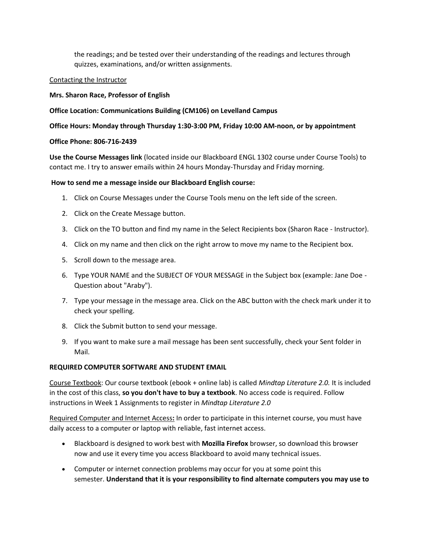the readings; and be tested over their understanding of the readings and lectures through quizzes, examinations, and/or written assignments.

### Contacting the Instructor

### **Mrs. Sharon Race, Professor of English**

### **Office Location: Communications Building (CM106) on Levelland Campus**

### **Office Hours: Monday through Thursday 1:30-3:00 PM, Friday 10:00 AM-noon, or by appointment**

#### **Office Phone: 806-716-2439**

**Use the Course Messages link** (located inside our Blackboard ENGL 1302 course under Course Tools) to contact me. I try to answer emails within 24 hours Monday-Thursday and Friday morning.

#### **How to send me a message inside our Blackboard English course:**

- 1. Click on Course Messages under the Course Tools menu on the left side of the screen.
- 2. Click on the Create Message button.
- 3. Click on the TO button and find my name in the Select Recipients box (Sharon Race Instructor).
- 4. Click on my name and then click on the right arrow to move my name to the Recipient box.
- 5. Scroll down to the message area.
- 6. Type YOUR NAME and the SUBJECT OF YOUR MESSAGE in the Subject box (example: Jane Doe Question about "Araby").
- 7. Type your message in the message area. Click on the ABC button with the check mark under it to check your spelling.
- 8. Click the Submit button to send your message.
- 9. If you want to make sure a mail message has been sent successfully, check your Sent folder in Mail.

# **REQUIRED COMPUTER SOFTWARE AND STUDENT EMAIL**

Course Textbook: Our course textbook (ebook + online lab) is called *Mindtap Literature 2.0.* It is included in the cost of this class, **so you don't have to buy a textbook**. No access code is required. Follow instructions in Week 1 Assignments to register in *Mindtap Literature 2.0*

Required Computer and Internet Access**:** In order to participate in this internet course, you must have daily access to a computer or laptop with reliable, fast internet access.

- Blackboard is designed to work best with **Mozilla Firefox** browser, so download this browser now and use it every time you access Blackboard to avoid many technical issues.
- Computer or internet connection problems may occur for you at some point this semester. **Understand that it is your responsibility to find alternate computers you may use to**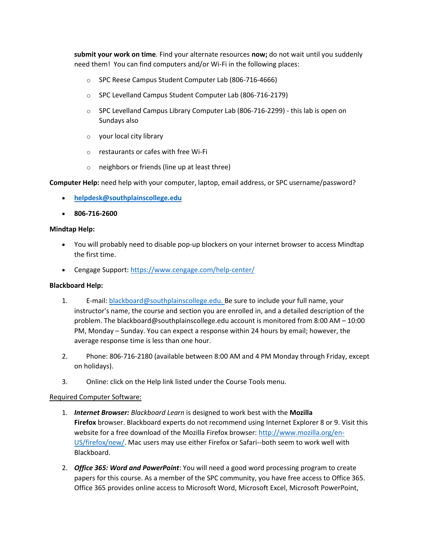**submit your work on time***.* Find your alternate resources **now;** do not wait until you suddenly need them! You can find computers and/or Wi-Fi in the following places:

- o SPC Reese Campus Student Computer Lab (806-716-4666)
- o SPC Levelland Campus Student Computer Lab (806-716-2179)
- $\circ$  SPC Levelland Campus Library Computer Lab (806-716-2299) this lab is open on Sundays also
- o your local city library
- o restaurants or cafes with free Wi-Fi
- o neighbors or friends (line up at least three)

**Computer Help:** need help with your computer, laptop, email address, or SPC username/password?

- **[helpdesk@southplainscollege.edu](mailto:helpdesk@southplainscollege.edu)**
- **806-716-2600**

#### **Mindtap Help:**

- You will probably need to disable pop-up blockers on your internet browser to access Mindtap the first time.
- Cengage Support: <https://www.cengage.com/help-center/>

#### **Blackboard Help:**

- 1. E-mail: [blackboard@southplainscollege.edu.](mailto:blackboard@southplainscollege.edu) Be sure to include your full name, your instructor's name, the course and section you are enrolled in, and a detailed description of the problem. The blackboard@southplainscollege.edu account is monitored from 8:00 AM – 10:00 PM, Monday – Sunday. You can expect a response within 24 hours by email; however, the average response time is less than one hour.
- 2. Phone: 806-716-2180 (available between 8:00 AM and 4 PM Monday through Friday, except on holidays).
- 3. Online: click on the Help link listed under the Course Tools menu.

#### Required Computer Software:

- 1. *Internet Browser: Blackboard Learn* is designed to work best with the **Mozilla Firefox** browser. Blackboard experts do not recommend using Internet Explorer 8 or 9. Visit this website for a free download of the Mozilla Firefox browser: [http://www.mozilla.org/en-](http://www.mozilla.org/en-US/firefox/new/)[US/firefox/new/.](http://www.mozilla.org/en-US/firefox/new/) Mac users may use either Firefox or Safari--both seem to work well with Blackboard.
- 2. *Office 365: Word and PowerPoint*: You will need a good word processing program to create papers for this course. As a member of the SPC community, you have free access to Office 365. Office 365 provides online access to Microsoft Word, Microsoft Excel, Microsoft PowerPoint,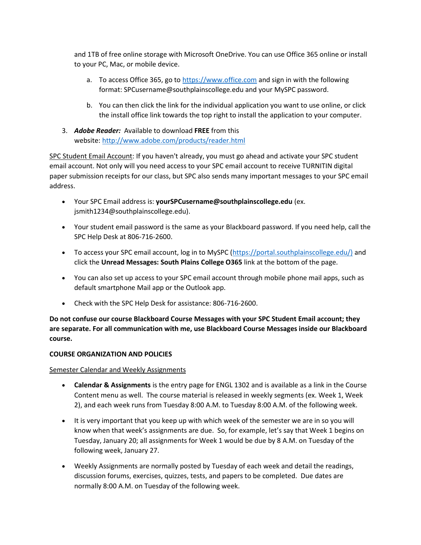and 1TB of free online storage with Microsoft OneDrive. You can use Office 365 online or install to your PC, Mac, or mobile device.

- a. To access Office 365, go to [https://www.office.com](https://www.office.com/) and sign in with the following format: SPCusername@southplainscollege.edu and your MySPC password.
- b. You can then click the link for the individual application you want to use online, or click the install office link towards the top right to install the application to your computer.
- 3. *Adobe Reader:* Available to download **FREE** from this website: <http://www.adobe.com/products/reader.html>

SPC Student Email Account: If you haven't already, you must go ahead and activate your SPC student email account. Not only will you need access to your SPC email account to receive TURNITIN digital paper submission receipts for our class, but SPC also sends many important messages to your SPC email address.

- Your SPC Email address is: **yourSPCusername@southplainscollege.edu** (ex. jsmith1234@southplainscollege.edu).
- Your student email password is the same as your Blackboard password. If you need help, call the SPC Help Desk at 806-716-2600.
- To access your SPC email account, log in to MySPC [\(https://portal.southplainscollege.edu/\)](https://portal.southplainscollege.edu/) and click the **Unread Messages: South Plains College O365** link at the bottom of the page.
- You can also set up access to your SPC email account through mobile phone mail apps, such as default smartphone Mail app or the Outlook app.
- Check with the SPC Help Desk for assistance: 806-716-2600.

**Do not confuse our course Blackboard Course Messages with your SPC Student Email account; they are separate. For all communication with me, use Blackboard Course Messages inside our Blackboard course.**

# **COURSE ORGANIZATION AND POLICIES**

# Semester Calendar and Weekly Assignments

- **Calendar & Assignments** is the entry page for ENGL 1302 and is available as a link in the Course Content menu as well. The course material is released in weekly segments (ex. Week 1, Week 2), and each week runs from Tuesday 8:00 A.M. to Tuesday 8:00 A.M. of the following week.
- It is very important that you keep up with which week of the semester we are in so you will know when that week's assignments are due. So, for example, let's say that Week 1 begins on Tuesday, January 20; all assignments for Week 1 would be due by 8 A.M. on Tuesday of the following week, January 27.
- Weekly Assignments are normally posted by Tuesday of each week and detail the readings, discussion forums, exercises, quizzes, tests, and papers to be completed. Due dates are normally 8:00 A.M. on Tuesday of the following week.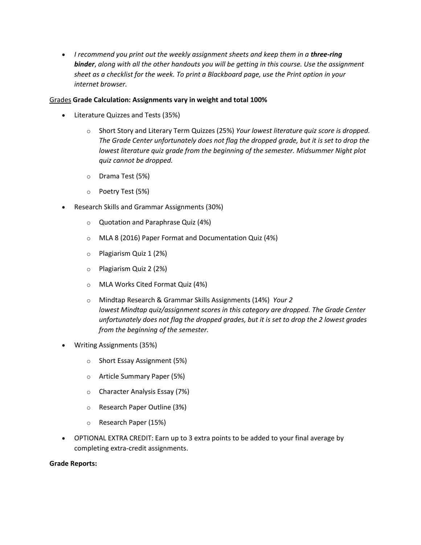• *I recommend you print out the weekly assignment sheets and keep them in a three-ring binder*, *along with all the other handouts you will be getting in this course. Use the assignment sheet as a checklist for the week. To print a Blackboard page, use the Print option in your internet browser.*

# Grades **Grade Calculation: Assignments vary in weight and total 100%**

- Literature Quizzes and Tests (35%)
	- o Short Story and Literary Term Quizzes (25%) *Your lowest literature quiz score is dropped. The Grade Center unfortunately does not flag the dropped grade, but it is set to drop the lowest literature quiz grade from the beginning of the semester. Midsummer Night plot quiz cannot be dropped.*
	- o Drama Test (5%)
	- o Poetry Test (5%)
- Research Skills and Grammar Assignments (30%)
	- o Quotation and Paraphrase Quiz (4%)
	- o MLA 8 (2016) Paper Format and Documentation Quiz (4%)
	- o Plagiarism Quiz 1 (2%)
	- o Plagiarism Quiz 2 (2%)
	- o MLA Works Cited Format Quiz (4%)
	- o Mindtap Research & Grammar Skills Assignments (14%) *Your 2 lowest Mindtap quiz/assignment scores in this category are dropped. The Grade Center unfortunately does not flag the dropped grades, but it is set to drop the 2 lowest grades from the beginning of the semester.*
- Writing Assignments (35%)
	- o Short Essay Assignment (5%)
	- o Article Summary Paper (5%)
	- o Character Analysis Essay (7%)
	- o Research Paper Outline (3%)
	- o Research Paper (15%)
- OPTIONAL EXTRA CREDIT: Earn up to 3 extra points to be added to your final average by completing extra-credit assignments.

# **Grade Reports:**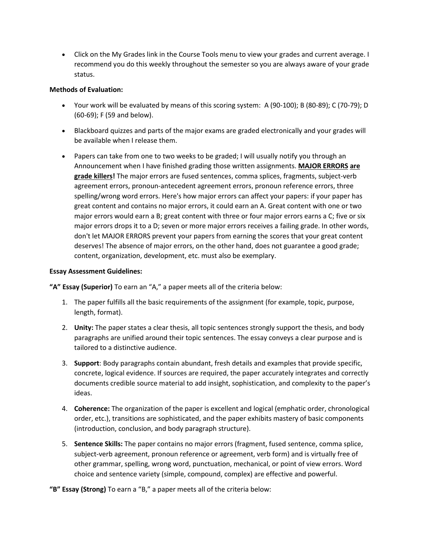• Click on the My Grades link in the Course Tools menu to view your grades and current average. I recommend you do this weekly throughout the semester so you are always aware of your grade status.

# **Methods of Evaluation:**

- Your work will be evaluated by means of this scoring system: A (90-100); B (80-89); C (70-79); D (60-69); F (59 and below).
- Blackboard quizzes and parts of the major exams are graded electronically and your grades will be available when I release them.
- Papers can take from one to two weeks to be graded; I will usually notify you through an Announcement when I have finished grading those written assignments. **MAJOR ERRORS are grade killers!** The major errors are fused sentences, comma splices, fragments, subject-verb agreement errors, pronoun-antecedent agreement errors, pronoun reference errors, three spelling/wrong word errors. Here's how major errors can affect your papers: if your paper has great content and contains no major errors, it could earn an A. Great content with one or two major errors would earn a B; great content with three or four major errors earns a C; five or six major errors drops it to a D; seven or more major errors receives a failing grade. In other words, don't let MAJOR ERRORS prevent your papers from earning the scores that your great content deserves! The absence of major errors, on the other hand, does not guarantee a good grade; content, organization, development, etc. must also be exemplary.

# **Essay Assessment Guidelines:**

**"A" Essay (Superior)** To earn an "A," a paper meets all of the criteria below:

- 1. The paper fulfills all the basic requirements of the assignment (for example, topic, purpose, length, format).
- 2. **Unity:** The paper states a clear thesis, all topic sentences strongly support the thesis, and body paragraphs are unified around their topic sentences. The essay conveys a clear purpose and is tailored to a distinctive audience.
- 3. **Support**: Body paragraphs contain abundant, fresh details and examples that provide specific, concrete, logical evidence. If sources are required, the paper accurately integrates and correctly documents credible source material to add insight, sophistication, and complexity to the paper's ideas.
- 4. **Coherence:** The organization of the paper is excellent and logical (emphatic order, chronological order, etc.), transitions are sophisticated, and the paper exhibits mastery of basic components (introduction, conclusion, and body paragraph structure).
- 5. **Sentence Skills:** The paper contains no major errors (fragment, fused sentence, comma splice, subject-verb agreement, pronoun reference or agreement, verb form) and is virtually free of other grammar, spelling, wrong word, punctuation, mechanical, or point of view errors. Word choice and sentence variety (simple, compound, complex) are effective and powerful.

**"B" Essay (Strong)** To earn a "B," a paper meets all of the criteria below: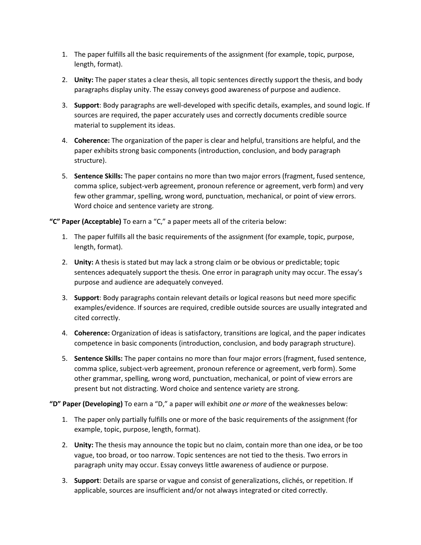- 1. The paper fulfills all the basic requirements of the assignment (for example, topic, purpose, length, format).
- 2. **Unity:** The paper states a clear thesis, all topic sentences directly support the thesis, and body paragraphs display unity. The essay conveys good awareness of purpose and audience.
- 3. **Support**: Body paragraphs are well-developed with specific details, examples, and sound logic. If sources are required, the paper accurately uses and correctly documents credible source material to supplement its ideas.
- 4. **Coherence:** The organization of the paper is clear and helpful, transitions are helpful, and the paper exhibits strong basic components (introduction, conclusion, and body paragraph structure).
- 5. **Sentence Skills:** The paper contains no more than two major errors (fragment, fused sentence, comma splice, subject-verb agreement, pronoun reference or agreement, verb form) and very few other grammar, spelling, wrong word, punctuation, mechanical, or point of view errors. Word choice and sentence variety are strong.

**"C" Paper (Acceptable)** To earn a "C," a paper meets all of the criteria below:

- 1. The paper fulfills all the basic requirements of the assignment (for example, topic, purpose, length, format).
- 2. **Unity:** A thesis is stated but may lack a strong claim or be obvious or predictable; topic sentences adequately support the thesis. One error in paragraph unity may occur. The essay's purpose and audience are adequately conveyed.
- 3. **Support**: Body paragraphs contain relevant details or logical reasons but need more specific examples/evidence. If sources are required, credible outside sources are usually integrated and cited correctly.
- 4. **Coherence:** Organization of ideas is satisfactory, transitions are logical, and the paper indicates competence in basic components (introduction, conclusion, and body paragraph structure).
- 5. **Sentence Skills:** The paper contains no more than four major errors (fragment, fused sentence, comma splice, subject-verb agreement, pronoun reference or agreement, verb form). Some other grammar, spelling, wrong word, punctuation, mechanical, or point of view errors are present but not distracting. Word choice and sentence variety are strong.

**"D" Paper (Developing)** To earn a "D," a paper will exhibit *one or more* of the weaknesses below:

- 1. The paper only partially fulfills one or more of the basic requirements of the assignment (for example, topic, purpose, length, format).
- 2. **Unity:** The thesis may announce the topic but no claim, contain more than one idea, or be too vague, too broad, or too narrow. Topic sentences are not tied to the thesis. Two errors in paragraph unity may occur. Essay conveys little awareness of audience or purpose.
- 3. **Support**: Details are sparse or vague and consist of generalizations, clichés, or repetition. If applicable, sources are insufficient and/or not always integrated or cited correctly.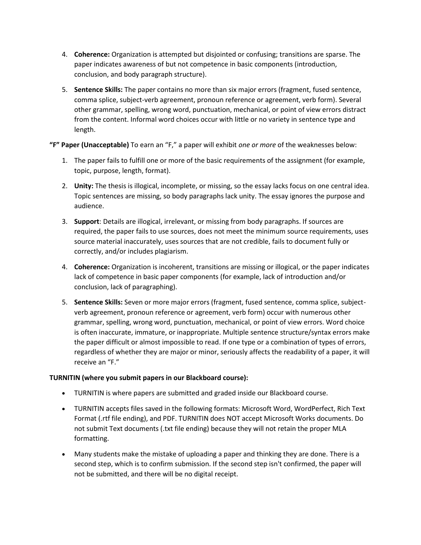- 4. **Coherence:** Organization is attempted but disjointed or confusing; transitions are sparse. The paper indicates awareness of but not competence in basic components (introduction, conclusion, and body paragraph structure).
- 5. **Sentence Skills:** The paper contains no more than six major errors (fragment, fused sentence, comma splice, subject-verb agreement, pronoun reference or agreement, verb form). Several other grammar, spelling, wrong word, punctuation, mechanical, or point of view errors distract from the content. Informal word choices occur with little or no variety in sentence type and length.

**"F" Paper (Unacceptable)** To earn an "F," a paper will exhibit *one or more* of the weaknesses below:

- 1. The paper fails to fulfill one or more of the basic requirements of the assignment (for example, topic, purpose, length, format).
- 2. **Unity:** The thesis is illogical, incomplete, or missing, so the essay lacks focus on one central idea. Topic sentences are missing, so body paragraphs lack unity. The essay ignores the purpose and audience.
- 3. **Support**: Details are illogical, irrelevant, or missing from body paragraphs. If sources are required, the paper fails to use sources, does not meet the minimum source requirements, uses source material inaccurately, uses sources that are not credible, fails to document fully or correctly, and/or includes plagiarism.
- 4. **Coherence:** Organization is incoherent, transitions are missing or illogical, or the paper indicates lack of competence in basic paper components (for example, lack of introduction and/or conclusion, lack of paragraphing).
- 5. **Sentence Skills:** Seven or more major errors (fragment, fused sentence, comma splice, subjectverb agreement, pronoun reference or agreement, verb form) occur with numerous other grammar, spelling, wrong word, punctuation, mechanical, or point of view errors. Word choice is often inaccurate, immature, or inappropriate. Multiple sentence structure/syntax errors make the paper difficult or almost impossible to read. If one type or a combination of types of errors, regardless of whether they are major or minor, seriously affects the readability of a paper, it will receive an "F."

# **TURNITIN (where you submit papers in our Blackboard course):**

- TURNITIN is where papers are submitted and graded inside our Blackboard course.
- TURNITIN accepts files saved in the following formats: Microsoft Word, WordPerfect, Rich Text Format (.rtf file ending), and PDF. TURNITIN does NOT accept Microsoft Works documents. Do not submit Text documents (.txt file ending) because they will not retain the proper MLA formatting.
- Many students make the mistake of uploading a paper and thinking they are done. There is a second step, which is to confirm submission. If the second step isn't confirmed, the paper will not be submitted, and there will be no digital receipt.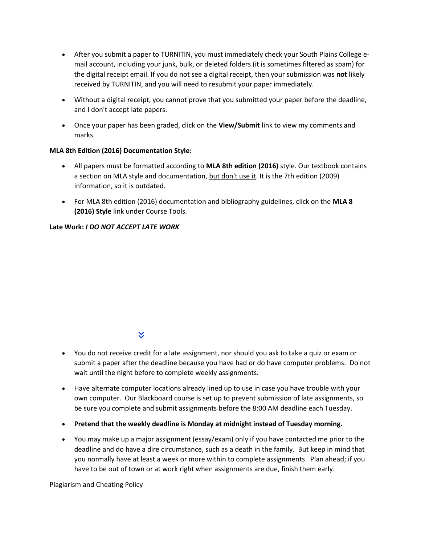- After you submit a paper to TURNITIN, you must immediately check your South Plains College email account, including your junk, bulk, or deleted folders (it is sometimes filtered as spam) for the digital receipt email. If you do not see a digital receipt, then your submission was **not** likely received by TURNITIN, and you will need to resubmit your paper immediately.
- Without a digital receipt, you cannot prove that you submitted your paper before the deadline, and I don't accept late papers.
- Once your paper has been graded, click on the **View/Submit** link to view my comments and marks.

# **MLA 8th Edition (2016) Documentation Style:**

- All papers must be formatted according to **MLA 8th edition (2016)** style. Our textbook contains a section on MLA style and documentation, but don't use it. It is the 7th edition (2009) information, so it is outdated.
- For MLA 8th edition (2016) documentation and bibliography guidelines, click on the **MLA 8 (2016) Style** link under Course Tools.

# **Late Work:** *I DO NOT ACCEPT LATE WORK*

# ×.

- You do not receive credit for a late assignment, nor should you ask to take a quiz or exam or submit a paper after the deadline because you have had or do have computer problems. Do not wait until the night before to complete weekly assignments.
- Have alternate computer locations already lined up to use in case you have trouble with your own computer. Our Blackboard course is set up to prevent submission of late assignments, so be sure you complete and submit assignments before the 8:00 AM deadline each Tuesday.
- **Pretend that the weekly deadline is Monday at midnight instead of Tuesday morning.**
- You may make up a major assignment (essay/exam) only if you have contacted me prior to the deadline and do have a dire circumstance, such as a death in the family. But keep in mind that you normally have at least a week or more within to complete assignments. Plan ahead; if you have to be out of town or at work right when assignments are due, finish them early.

# Plagiarism and Cheating Policy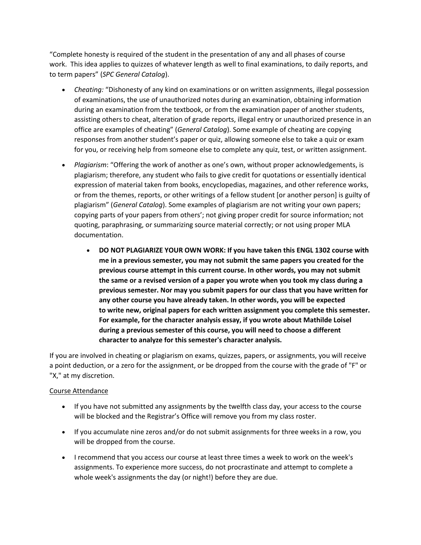"Complete honesty is required of the student in the presentation of any and all phases of course work. This idea applies to quizzes of whatever length as well to final examinations, to daily reports, and to term papers" (*SPC General Catalog*).

- *Cheating:* "Dishonesty of any kind on examinations or on written assignments, illegal possession of examinations, the use of unauthorized notes during an examination, obtaining information during an examination from the textbook, or from the examination paper of another students, assisting others to cheat, alteration of grade reports, illegal entry or unauthorized presence in an office are examples of cheating" (*General Catalog*). Some example of cheating are copying responses from another student's paper or quiz, allowing someone else to take a quiz or exam for you, or receiving help from someone else to complete any quiz, test, or written assignment.
- *Plagiarism*: "Offering the work of another as one's own, without proper acknowledgements, is plagiarism; therefore, any student who fails to give credit for quotations or essentially identical expression of material taken from books, encyclopedias, magazines, and other reference works, or from the themes, reports, or other writings of a fellow student [or another person] is guilty of plagiarism" (*General Catalog*). Some examples of plagiarism are not writing your own papers; copying parts of your papers from others'; not giving proper credit for source information; not quoting, paraphrasing, or summarizing source material correctly; or not using proper MLA documentation.
	- **DO NOT PLAGIARIZE YOUR OWN WORK: If you have taken this ENGL 1302 course with me in a previous semester, you may not submit the same papers you created for the previous course attempt in this current course. In other words, you may not submit the same or a revised version of a paper you wrote when you took my class during a previous semester. Nor may you submit papers for our class that you have written for any other course you have already taken. In other words, you will be expected to write new, original papers for each written assignment you complete this semester. For example, for the character analysis essay, if you wrote about Mathilde Loisel during a previous semester of this course, you will need to choose a different character to analyze for this semester's character analysis.**

If you are involved in cheating or plagiarism on exams, quizzes, papers, or assignments, you will receive a point deduction, or a zero for the assignment, or be dropped from the course with the grade of "F" or "X," at my discretion.

# Course Attendance

- If you have not submitted any assignments by the twelfth class day, your access to the course will be blocked and the Registrar's Office will remove you from my class roster.
- If you accumulate nine zeros and/or do not submit assignments for three weeks in a row, you will be dropped from the course.
- I recommend that you access our course at least three times a week to work on the week's assignments. To experience more success, do not procrastinate and attempt to complete a whole week's assignments the day (or night!) before they are due.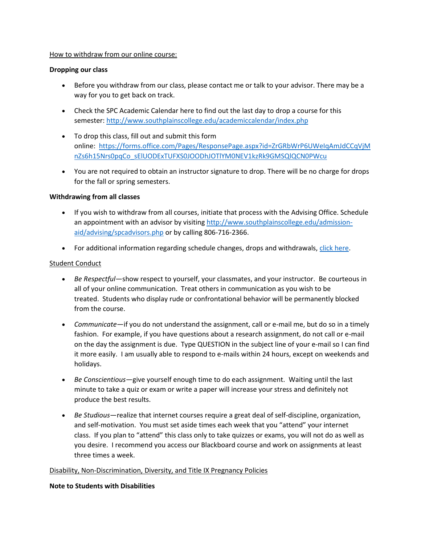#### How to withdraw from our online course:

# **Dropping our class**

- Before you withdraw from our class, please contact me or talk to your advisor. There may be a way for you to get back on track.
- Check the SPC Academic Calendar here to find out the last day to drop a course for this semester: <http://www.southplainscollege.edu/academiccalendar/index.php>
- To drop this class, fill out and submit this form online: [https://forms.office.com/Pages/ResponsePage.aspx?id=ZrGRbWrP6UWeIqAmJdCCqVjM](https://forms.office.com/Pages/ResponsePage.aspx?id=ZrGRbWrP6UWeIqAmJdCCqVjMnZs6h15Nrs0pqCo_sElUODExTUFXS0JOODhJOTlYM0NEV1kzRk9GMSQlQCN0PWcu) [nZs6h15Nrs0pqCo\\_sElUODExTUFXS0JOODhJOTlYM0NEV1kzRk9GMSQlQCN0PWcu](https://forms.office.com/Pages/ResponsePage.aspx?id=ZrGRbWrP6UWeIqAmJdCCqVjMnZs6h15Nrs0pqCo_sElUODExTUFXS0JOODhJOTlYM0NEV1kzRk9GMSQlQCN0PWcu)
- You are not required to obtain an instructor signature to drop. There will be no charge for drops for the fall or spring semesters.

# **Withdrawing from all classes**

- If you wish to withdraw from all courses, initiate that process with the Advising Office. Schedule an appointment with an advisor by visiting [http://www.southplainscollege.edu/admission](http://www.southplainscollege.edu/admission-aid/advising/spcadvisors.php)[aid/advising/spcadvisors.php](http://www.southplainscollege.edu/admission-aid/advising/spcadvisors.php) or by calling 806-716-2366.
- For additional information regarding schedule changes, drops and withdrawals, [click here.](http://www.southplainscollege.edu/admission-aid/apply/schedulechanges.php)

# Student Conduct

- *Be Respectful—*show respect to yourself, your classmates, and your instructor. Be courteous in all of your online communication. Treat others in communication as you wish to be treated. Students who display rude or confrontational behavior will be permanently blocked from the course.
- *Communicate*—if you do not understand the assignment, call or e-mail me, but do so in a timely fashion. For example, if you have questions about a research assignment, do not call or e-mail on the day the assignment is due. Type QUESTION in the subject line of your e-mail so I can find it more easily. I am usually able to respond to e-mails within 24 hours, except on weekends and holidays.
- *Be Conscientious*—give yourself enough time to do each assignment. Waiting until the last minute to take a quiz or exam or write a paper will increase your stress and definitely not produce the best results.
- *Be Studious*—realize that internet courses require a great deal of self-discipline, organization, and self-motivation. You must set aside times each week that you "attend" your internet class. If you plan to "attend" this class only to take quizzes or exams, you will not do as well as you desire. I recommend you access our Blackboard course and work on assignments at least three times a week.

#### Disability, Non-Discrimination, Diversity, and Title IX Pregnancy Policies

#### **Note to Students with Disabilities**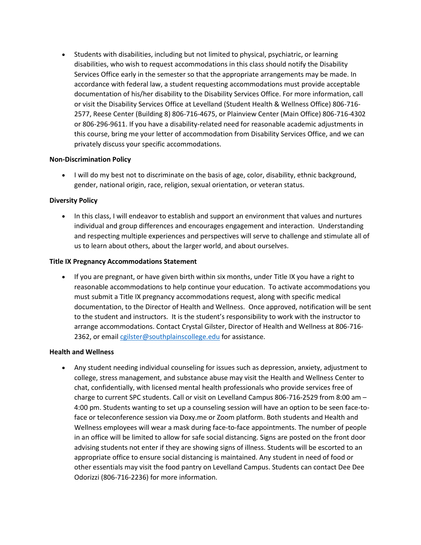• Students with disabilities, including but not limited to physical, psychiatric, or learning disabilities, who wish to request accommodations in this class should notify the Disability Services Office early in the semester so that the appropriate arrangements may be made. In accordance with federal law, a student requesting accommodations must provide acceptable documentation of his/her disability to the Disability Services Office. For more information, call or visit the Disability Services Office at Levelland (Student Health & Wellness Office) 806-716- 2577, Reese Center (Building 8) 806-716-4675, or Plainview Center (Main Office) 806-716-4302 or 806-296-9611. If you have a disability-related need for reasonable academic adjustments in this course, bring me your letter of accommodation from Disability Services Office, and we can privately discuss your specific accommodations.

# **Non-Discrimination Policy**

• I will do my best not to discriminate on the basis of age, color, disability, ethnic background, gender, national origin, race, religion, sexual orientation, or veteran status.

# **Diversity Policy**

• In this class, I will endeavor to establish and support an environment that values and nurtures individual and group differences and encourages engagement and interaction. Understanding and respecting multiple experiences and perspectives will serve to challenge and stimulate all of us to learn about others, about the larger world, and about ourselves.

#### **Title IX Pregnancy Accommodations Statement**

• If you are pregnant, or have given birth within six months, under Title IX you have a right to reasonable accommodations to help continue your education. To activate accommodations you must submit a Title IX pregnancy accommodations request, along with specific medical documentation, to the Director of Health and Wellness. Once approved, notification will be sent to the student and instructors. It is the student's responsibility to work with the instructor to arrange accommodations. Contact Crystal Gilster, Director of Health and Wellness at 806-716 2362, or email [cgilster@southplainscollege.edu](mailto:cgilster@southplainscollege.edu) for assistance.

# **Health and Wellness**

• Any student needing individual counseling for issues such as depression, anxiety, adjustment to college, stress management, and substance abuse may visit the Health and Wellness Center to chat, confidentially, with licensed mental health professionals who provide services free of charge to current SPC students. Call or visit on Levelland Campus 806-716-2529 from 8:00 am – 4:00 pm. Students wanting to set up a counseling session will have an option to be seen face-toface or teleconference session via Doxy.me or Zoom platform. Both students and Health and Wellness employees will wear a mask during face-to-face appointments. The number of people in an office will be limited to allow for safe social distancing. Signs are posted on the front door advising students not enter if they are showing signs of illness. Students will be escorted to an appropriate office to ensure social distancing is maintained. Any student in need of food or other essentials may visit the food pantry on Levelland Campus. Students can contact Dee Dee Odorizzi (806-716-2236) for more information.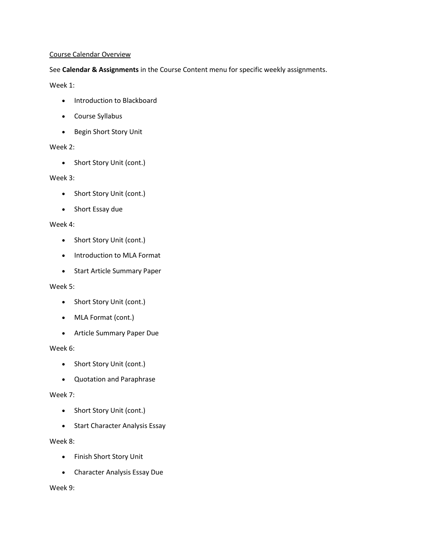### Course Calendar Overview

# See **Calendar & Assignments** in the Course Content menu for specific weekly assignments.

Week 1:

- Introduction to Blackboard
- Course Syllabus
- Begin Short Story Unit

# Week 2:

• Short Story Unit (cont.)

# Week 3:

- Short Story Unit (cont.)
- Short Essay due

# Week 4:

- Short Story Unit (cont.)
- Introduction to MLA Format
- Start Article Summary Paper

# Week 5:

- Short Story Unit (cont.)
- MLA Format (cont.)
- Article Summary Paper Due

# Week 6:

- Short Story Unit (cont.)
- Quotation and Paraphrase

# Week 7:

- Short Story Unit (cont.)
- Start Character Analysis Essay

# Week 8:

- Finish Short Story Unit
- Character Analysis Essay Due

# Week 9: